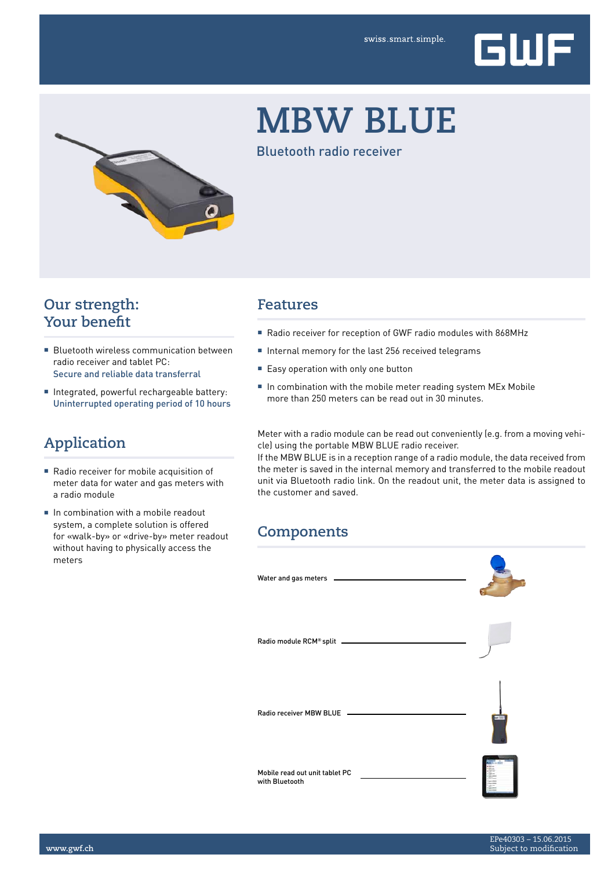

# **MBW BLUE**

Bluetooth radio receiver

## **Our strength: Your benefit**

- Bluetooth wireless communication between radio receiver and tablet PC: Secure and reliable data transferral
- Integrated, powerful rechargeable battery: Uninterrupted operating period of 10 hours

## **Application**

- Radio receiver for mobile acquisition of meter data for water and gas meters with a radio module
- In combination with a mobile readout system, a complete solution is offered for «walk-by» or «drive-by» meter readout without having to physically access the meters

#### **Features**

- Radio receiver for reception of GWF radio modules with 868MHz
- Internal memory for the last 256 received telegrams
- Easy operation with only one button
- In combination with the mobile meter reading system MEx Mobile more than 250 meters can be read out in 30 minutes.

Meter with a radio module can be read out conveniently (e.g. from a moving vehicle) using the portable MBW BLUE radio receiver.

If the MBW BLUE is in a reception range of a radio module, the data received from the meter is saved in the internal memory and transferred to the mobile readout unit via Bluetooth radio link. On the readout unit, the meter data is assigned to the customer and saved.

### **Components**